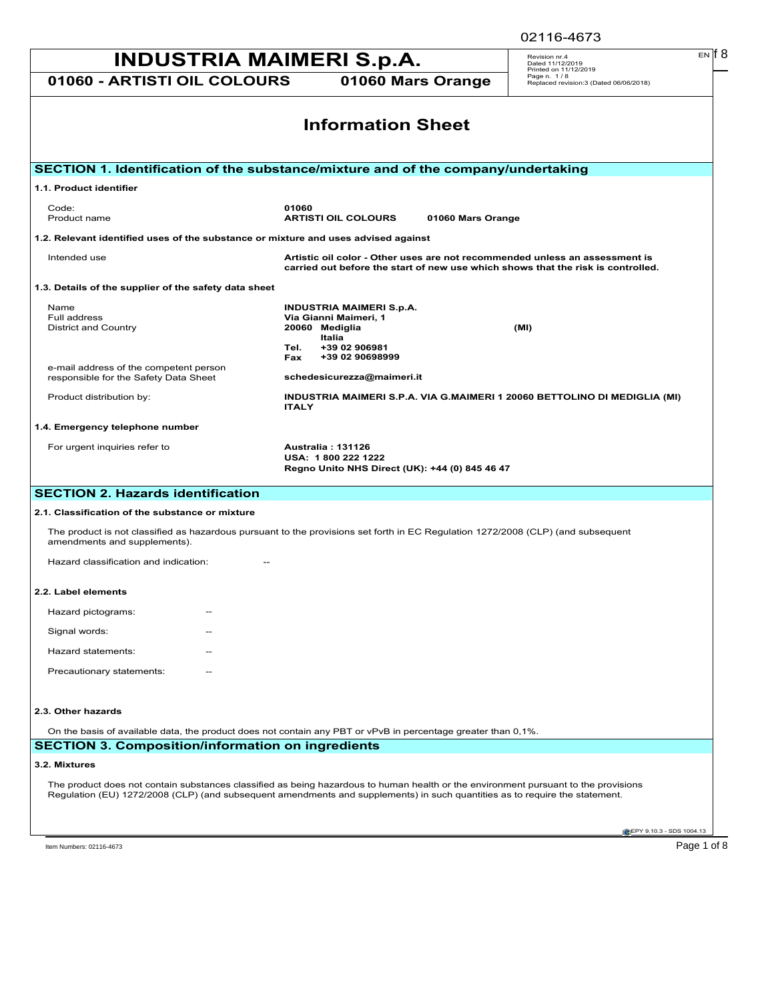| <b>INDUSTRIA MAIMERI S.p.A.</b>                                                                                                                                                                                                                                    |                                                                                                                                                                       | $EN$ $  8$<br>Revision nr.4<br>Dated 11/12/2019                                |  |
|--------------------------------------------------------------------------------------------------------------------------------------------------------------------------------------------------------------------------------------------------------------------|-----------------------------------------------------------------------------------------------------------------------------------------------------------------------|--------------------------------------------------------------------------------|--|
| 01060 - ARTISTI OIL COLOURS                                                                                                                                                                                                                                        | 01060 Mars Orange                                                                                                                                                     | Printed on 11/12/2019<br>Page n. 1/8<br>Replaced revision:3 (Dated 06/06/2018) |  |
|                                                                                                                                                                                                                                                                    | <b>Information Sheet</b>                                                                                                                                              |                                                                                |  |
| SECTION 1. Identification of the substance/mixture and of the company/undertaking                                                                                                                                                                                  |                                                                                                                                                                       |                                                                                |  |
| 1.1. Product identifier                                                                                                                                                                                                                                            |                                                                                                                                                                       |                                                                                |  |
| Code:<br>Product name                                                                                                                                                                                                                                              | 01060<br><b>ARTISTI OIL COLOURS</b><br>01060 Mars Orange                                                                                                              |                                                                                |  |
| 1.2. Relevant identified uses of the substance or mixture and uses advised against                                                                                                                                                                                 |                                                                                                                                                                       |                                                                                |  |
| Intended use                                                                                                                                                                                                                                                       | Artistic oil color - Other uses are not recommended unless an assessment is<br>carried out before the start of new use which shows that the risk is controlled.       |                                                                                |  |
| 1.3. Details of the supplier of the safety data sheet                                                                                                                                                                                                              |                                                                                                                                                                       |                                                                                |  |
| Name<br>Full address<br><b>District and Country</b><br>e-mail address of the competent person<br>responsible for the Safety Data Sheet                                                                                                                             | <b>INDUSTRIA MAIMERI S.p.A.</b><br>Via Gianni Maimeri, 1<br>20060 Mediglia<br>Italia<br>+39 02 906981<br>Tel.<br>+39 02 90698999<br>Fax<br>schedesicurezza@maimeri.it | (MI)                                                                           |  |
| Product distribution by:                                                                                                                                                                                                                                           | INDUSTRIA MAIMERI S.P.A. VIA G.MAIMERI 1 20060 BETTOLINO DI MEDIGLIA (MI)<br><b>ITALY</b>                                                                             |                                                                                |  |
| 1.4. Emergency telephone number                                                                                                                                                                                                                                    |                                                                                                                                                                       |                                                                                |  |
| For urgent inquiries refer to                                                                                                                                                                                                                                      | <b>Australia: 131126</b><br>USA: 1800 222 1222<br>Regno Unito NHS Direct (UK): +44 (0) 845 46 47                                                                      |                                                                                |  |
| <b>SECTION 2. Hazards identification</b>                                                                                                                                                                                                                           |                                                                                                                                                                       |                                                                                |  |
| 2.1. Classification of the substance or mixture                                                                                                                                                                                                                    |                                                                                                                                                                       |                                                                                |  |
| The product is not classified as hazardous pursuant to the provisions set forth in EC Regulation 1272/2008 (CLP) (and subsequent<br>amendments and supplements).                                                                                                   |                                                                                                                                                                       |                                                                                |  |
| Hazard classification and indication:                                                                                                                                                                                                                              |                                                                                                                                                                       |                                                                                |  |
| 2.2. Label elements                                                                                                                                                                                                                                                |                                                                                                                                                                       |                                                                                |  |
| Hazard pictograms:                                                                                                                                                                                                                                                 |                                                                                                                                                                       |                                                                                |  |
| Signal words:                                                                                                                                                                                                                                                      |                                                                                                                                                                       |                                                                                |  |
| Hazard statements:                                                                                                                                                                                                                                                 |                                                                                                                                                                       |                                                                                |  |
| Precautionary statements:                                                                                                                                                                                                                                          |                                                                                                                                                                       |                                                                                |  |
| 2.3. Other hazards                                                                                                                                                                                                                                                 |                                                                                                                                                                       |                                                                                |  |
| On the basis of available data, the product does not contain any PBT or vPvB in percentage greater than 0,1%.                                                                                                                                                      |                                                                                                                                                                       |                                                                                |  |
| <b>SECTION 3. Composition/information on ingredients</b>                                                                                                                                                                                                           |                                                                                                                                                                       |                                                                                |  |
| 3.2. Mixtures                                                                                                                                                                                                                                                      |                                                                                                                                                                       |                                                                                |  |
| The product does not contain substances classified as being hazardous to human health or the environment pursuant to the provisions<br>Regulation (EU) 1272/2008 (CLP) (and subsequent amendments and supplements) in such quantities as to require the statement. |                                                                                                                                                                       |                                                                                |  |
|                                                                                                                                                                                                                                                                    |                                                                                                                                                                       | EPY 9.10.3 - SDS 1004.13                                                       |  |
| Item Numbers: 02116-4673                                                                                                                                                                                                                                           |                                                                                                                                                                       | Page 1 of 8                                                                    |  |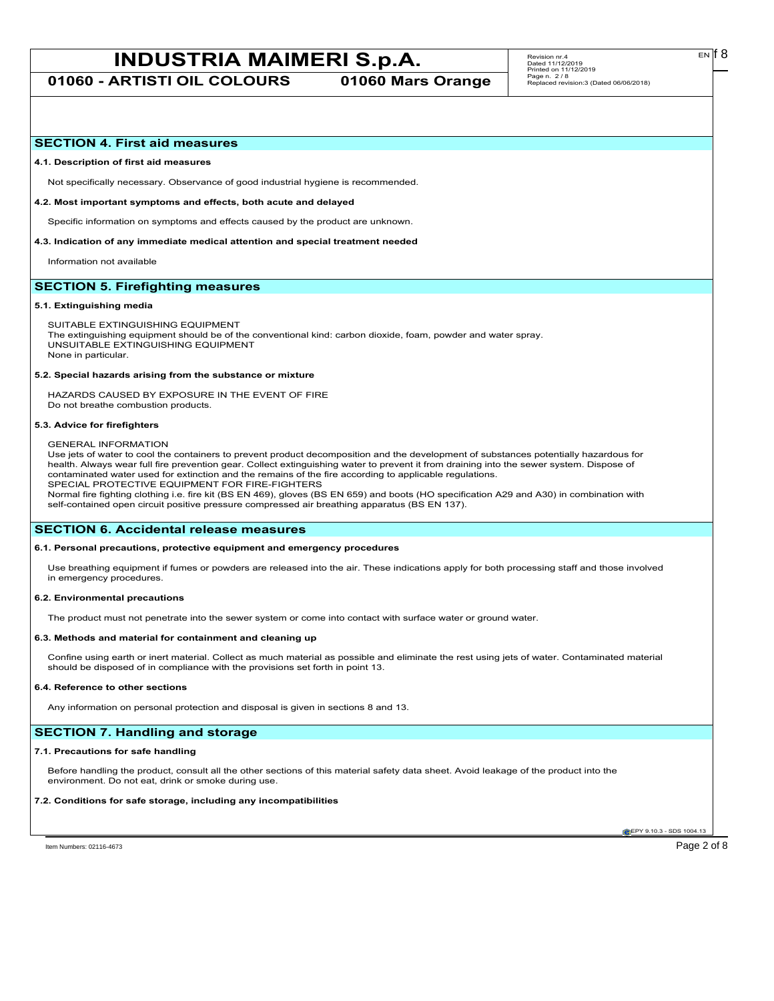**01060 - ARTISTI OIL COLOURS 01060 Mars Orange**

# **SECTION 4. First aid measures**

#### **4.1. Description of first aid measures**

Not specifically necessary. Observance of good industrial hygiene is recommended.

#### **4.2. Most important symptoms and effects, both acute and delayed**

Specific information on symptoms and effects caused by the product are unknown.

### **4.3. Indication of any immediate medical attention and special treatment needed**

Information not available

# **SECTION 5. Firefighting measures**

#### **5.1. Extinguishing media**

SUITABLE EXTINGUISHING EQUIPMENT The extinguishing equipment should be of the conventional kind: carbon dioxide, foam, powder and water spray. UNSUITABLE EXTINGUISHING EQUIPMENT None in particular.

#### **5.2. Special hazards arising from the substance or mixture**

HAZARDS CAUSED BY EXPOSURE IN THE EVENT OF FIRE Do not breathe combustion products.

#### **5.3. Advice for firefighters**

GENERAL INFORMATION

Use jets of water to cool the containers to prevent product decomposition and the development of substances potentially hazardous for health. Always wear full fire prevention gear. Collect extinguishing water to prevent it from draining into the sewer system. Dispose of contaminated water used for extinction and the remains of the fire according to applicable regulations. SPECIAL PROTECTIVE EQUIPMENT FOR FIRE-FIGHTERS

Normal fire fighting clothing i.e. fire kit (BS EN 469), gloves (BS EN 659) and boots (HO specification A29 and A30) in combination with self-contained open circuit positive pressure compressed air breathing apparatus (BS EN 137).

## **SECTION 6. Accidental release measures**

## **6.1. Personal precautions, protective equipment and emergency procedures**

Use breathing equipment if fumes or powders are released into the air. These indications apply for both processing staff and those involved in emergency procedures.

#### **6.2. Environmental precautions**

The product must not penetrate into the sewer system or come into contact with surface water or ground water.

#### **6.3. Methods and material for containment and cleaning up**

Confine using earth or inert material. Collect as much material as possible and eliminate the rest using jets of water. Contaminated material should be disposed of in compliance with the provisions set forth in point 13.

#### **6.4. Reference to other sections**

Any information on personal protection and disposal is given in sections 8 and 13.

# **SECTION 7. Handling and storage**

#### **7.1. Precautions for safe handling**

Before handling the product, consult all the other sections of this material safety data sheet. Avoid leakage of the product into the environment. Do not eat, drink or smoke during use.

#### **7.2. Conditions for safe storage, including any incompatibilities**

**CEPY 9.10.3 - SDS 1004.1** 

Item Numbers: 02116-4673 Page 2 of 8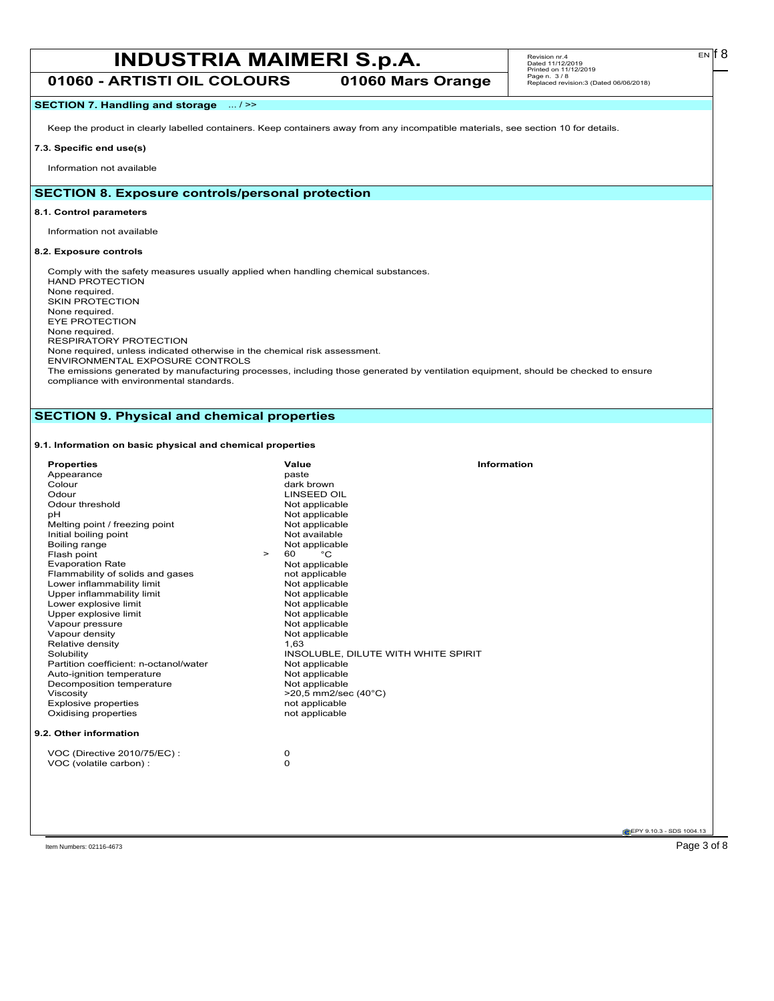**01060 - ARTISTI OIL COLOURS 01060 Mars Orange**

# **SECTION 7. Handling and storage** ... / >>

Keep the product in clearly labelled containers. Keep containers away from any incompatible materials, see section 10 for details.

# **7.3. Specific end use(s)**

Information not available

# **SECTION 8. Exposure controls/personal protection**

### **8.1. Control parameters**

Information not available

# **8.2. Exposure controls**

Comply with the safety measures usually applied when handling chemical substances. HAND PROTECTION None required. SKIN PROTECTION None required. EYE PROTECTION None required. RESPIRATORY PROTECTION None required, unless indicated otherwise in the chemical risk assessment. ENVIRONMENTAL EXPOSURE CONTROLS The emissions generated by manufacturing processes, including those generated by ventilation equipment, should be checked to ensure

compliance with environmental standards.

# **SECTION 9. Physical and chemical properties**

# **9.1. Information on basic physical and chemical properties**

| <b>Properties</b><br>Appearance<br>Colour           | Value<br>paste<br>dark brown     | <b>Information</b>                  |
|-----------------------------------------------------|----------------------------------|-------------------------------------|
| Odour                                               | <b>LINSEED OIL</b>               |                                     |
| Odour threshold                                     | Not applicable                   |                                     |
| pH                                                  | Not applicable                   |                                     |
| Melting point / freezing point                      | Not applicable                   |                                     |
| Initial boiling point                               | Not available                    |                                     |
| Boiling range                                       | Not applicable                   |                                     |
| Flash point<br>$\geq$                               | °C<br>60                         |                                     |
| <b>Evaporation Rate</b>                             | Not applicable                   |                                     |
| Flammability of solids and gases                    | not applicable                   |                                     |
| Lower inflammability limit                          | Not applicable                   |                                     |
| Upper inflammability limit<br>Lower explosive limit | Not applicable                   |                                     |
| Upper explosive limit                               | Not applicable<br>Not applicable |                                     |
| Vapour pressure                                     | Not applicable                   |                                     |
| Vapour density                                      | Not applicable                   |                                     |
| Relative density                                    | 1,63                             |                                     |
| Solubility                                          |                                  | INSOLUBLE, DILUTE WITH WHITE SPIRIT |
| Partition coefficient: n-octanol/water              | Not applicable                   |                                     |
| Auto-ignition temperature                           | Not applicable                   |                                     |
| Decomposition temperature                           | Not applicable                   |                                     |
| Viscosity                                           | >20,5 mm2/sec (40°C)             |                                     |
| <b>Explosive properties</b>                         | not applicable                   |                                     |
| Oxidising properties                                | not applicable                   |                                     |
|                                                     |                                  |                                     |
| 9.2. Other information                              |                                  |                                     |
| VOC (Directive 2010/75/EC) :                        | 0                                |                                     |
| VOC (volatile carbon) :                             | 0                                |                                     |
|                                                     |                                  |                                     |
|                                                     |                                  |                                     |
|                                                     |                                  |                                     |

 $E<sub>N</sub>$  18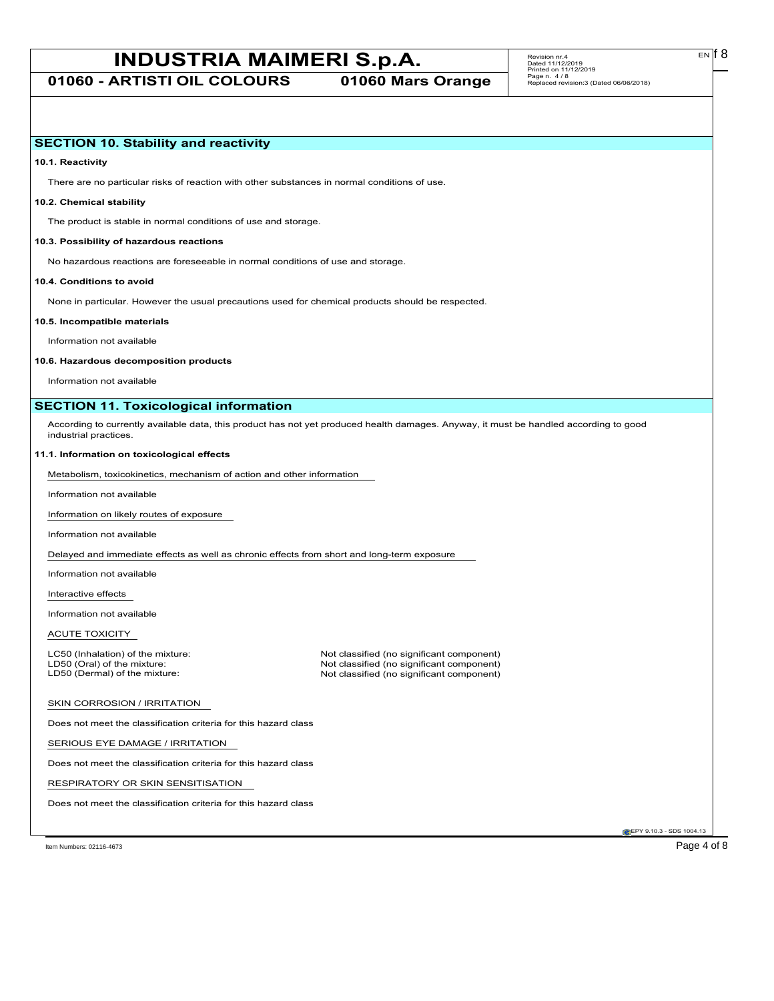**01060 - ARTISTI OIL COLOURS 01060 Mars Orange**

# **SECTION 10. Stability and reactivity**

**10.1. Reactivity**

There are no particular risks of reaction with other substances in normal conditions of use.

## **10.2. Chemical stability**

The product is stable in normal conditions of use and storage.

#### **10.3. Possibility of hazardous reactions**

No hazardous reactions are foreseeable in normal conditions of use and storage.

#### **10.4. Conditions to avoid**

None in particular. However the usual precautions used for chemical products should be respected.

#### **10.5. Incompatible materials**

Information not available

#### **10.6. Hazardous decomposition products**

Information not available

# **SECTION 11. Toxicological information**

According to currently available data, this product has not yet produced health damages. Anyway, it must be handled according to good industrial practices.

#### **11.1. Information on toxicological effects**

Metabolism, toxicokinetics, mechanism of action and other information

Information not available

Information on likely routes of exposure

Information not available

Delayed and immediate effects as well as chronic effects from short and long-term exposure

Information not available

Interactive effects

Information not available

ACUTE TOXICITY

LC50 (Inhalation) of the mixture: Not classified (no significant component)<br>
LD50 (Oral) of the mixture: Not classified (no significant component) LD50 (Oral) of the mixture: Not classified (no significant component)<br>
LD50 (Dermal) of the mixture: Not classified (no significant component) Not classified (no significant component)

#### SKIN CORROSION / IRRITATION

Does not meet the classification criteria for this hazard class

SERIOUS EYE DAMAGE / IRRITATION

Does not meet the classification criteria for this hazard class

RESPIRATORY OR SKIN SENSITISATION

Does not meet the classification criteria for this hazard class

EPY 9.10.3 - SDS 1004.13

Item Numbers: 02116-4673 Page 4 of 8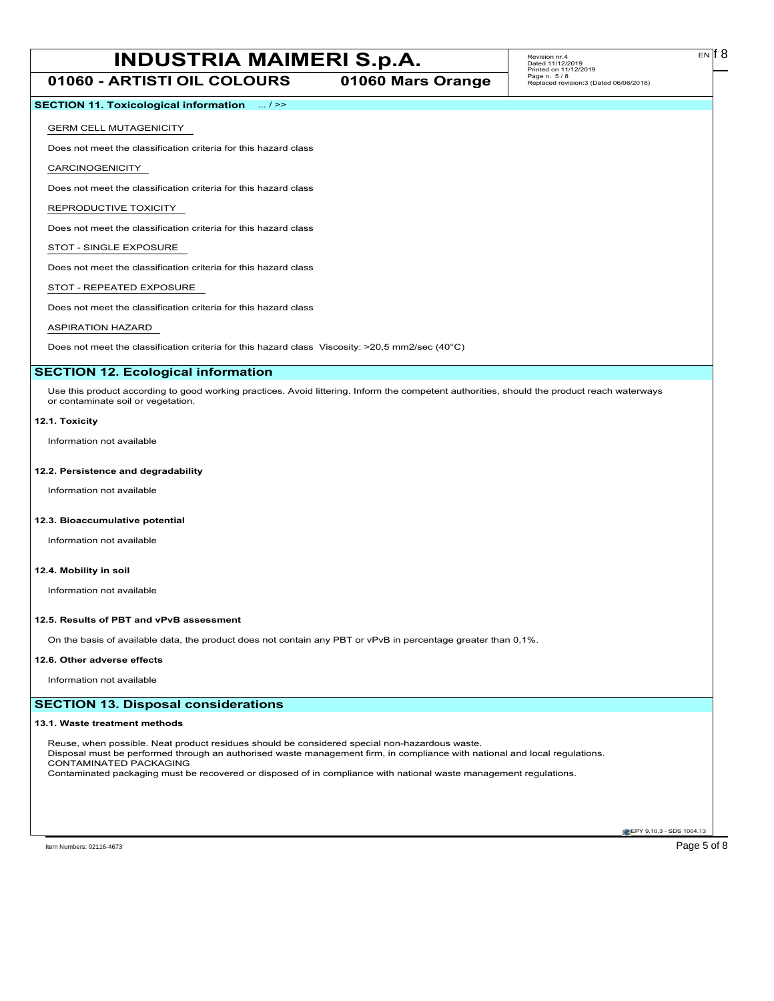**01060 - ARTISTI OIL COLOURS 01060 Mars Orange**

EN

# **SECTION 11. Toxicological information** ... / >>

#### GERM CELL MUTAGENICITY

Does not meet the classification criteria for this hazard class

CARCINOGENICITY

Does not meet the classification criteria for this hazard class

#### REPRODUCTIVE TOXICITY

Does not meet the classification criteria for this hazard class

# STOT - SINGLE EXPOSURE

Does not meet the classification criteria for this hazard class

#### STOT - REPEATED EXPOSURE

Does not meet the classification criteria for this hazard class

# ASPIRATION HAZARD

Does not meet the classification criteria for this hazard class Viscosity: >20,5 mm2/sec (40°C)

### **SECTION 12. Ecological information**

Use this product according to good working practices. Avoid littering. Inform the competent authorities, should the product reach waterways or contaminate soil or vegetation.

#### **12.1. Toxicity**

Information not available

#### **12.2. Persistence and degradability**

Information not available

#### **12.3. Bioaccumulative potential**

Information not available

### **12.4. Mobility in soil**

Information not available

#### **12.5. Results of PBT and vPvB assessment**

On the basis of available data, the product does not contain any PBT or vPvB in percentage greater than 0,1%.

#### **12.6. Other adverse effects**

Information not available

## **SECTION 13. Disposal considerations**

#### **13.1. Waste treatment methods**

Reuse, when possible. Neat product residues should be considered special non-hazardous waste. Disposal must be performed through an authorised waste management firm, in compliance with national and local regulations. CONTAMINATED PACKAGING Contaminated packaging must be recovered or disposed of in compliance with national waste management regulations.

**EPY 9.10.3 - SDS 1004.13**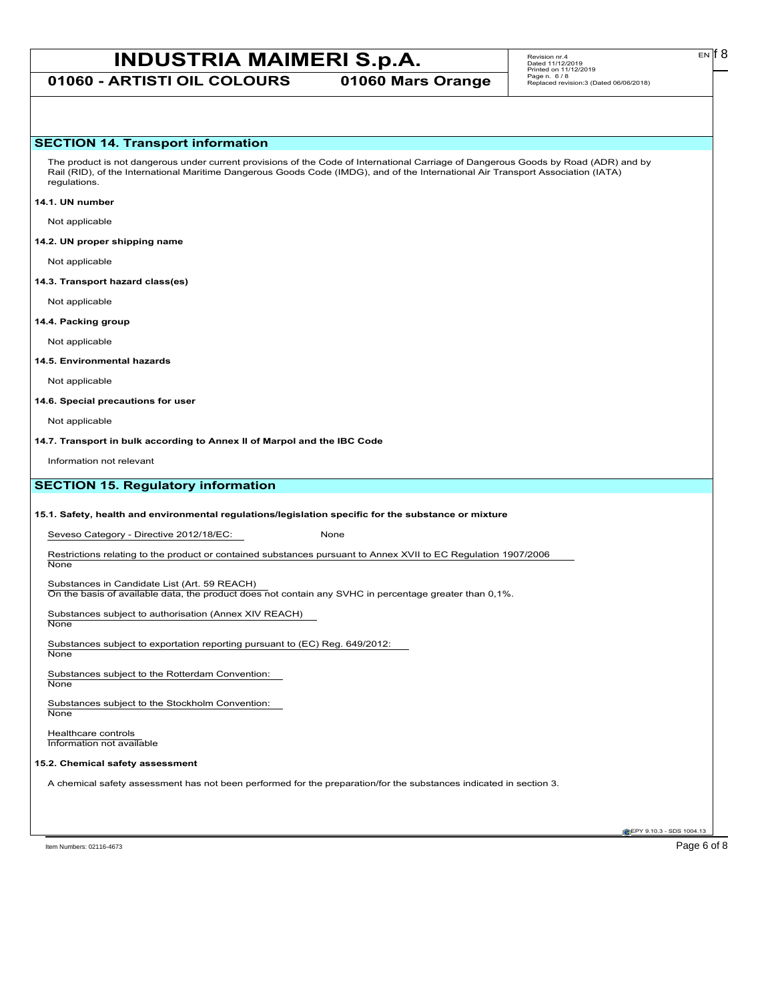**01060 - ARTISTI OIL COLOURS 01060 Mars Orange**

# **SECTION 14. Transport information**

The product is not dangerous under current provisions of the Code of International Carriage of Dangerous Goods by Road (ADR) and by Rail (RID), of the International Maritime Dangerous Goods Code (IMDG), and of the International Air Transport Association (IATA) regulations.

#### **14.1. UN number**

Not applicable

#### **14.2. UN proper shipping name**

Not applicable

#### **14.3. Transport hazard class(es)**

Not applicable

### **14.4. Packing group**

Not applicable

### **14.5. Environmental hazards**

Not applicable

#### **14.6. Special precautions for user**

Not applicable

**14.7. Transport in bulk according to Annex II of Marpol and the IBC Code**

Information not relevant

# **SECTION 15. Regulatory information**

#### **15.1. Safety, health and environmental regulations/legislation specific for the substance or mixture**

Seveso Category - Directive 2012/18/EC: None

Restrictions relating to the product or contained substances pursuant to Annex XVII to EC Regulation 1907/2006

Substances in Candidate List (Art. 59 REACH)

On the basis of available data, the product does not contain any SVHC in percentage greater than 0,1%.

Substances subject to authorisation (Annex XIV REACH) **None** 

Substances subject to exportation reporting pursuant to (EC) Reg. 649/2012:

**None** 

**None** 

Substances subject to the Rotterdam Convention: None

Substances subject to the Stockholm Convention: **None** 

Healthcare controls Information not available

## **15.2. Chemical safety assessment**

A chemical safety assessment has not been performed for the preparation/for the substances indicated in section 3.

Item Numbers: 02116-4673 Page 6 of 8

EPY 9.10.3 - SDS 1004.13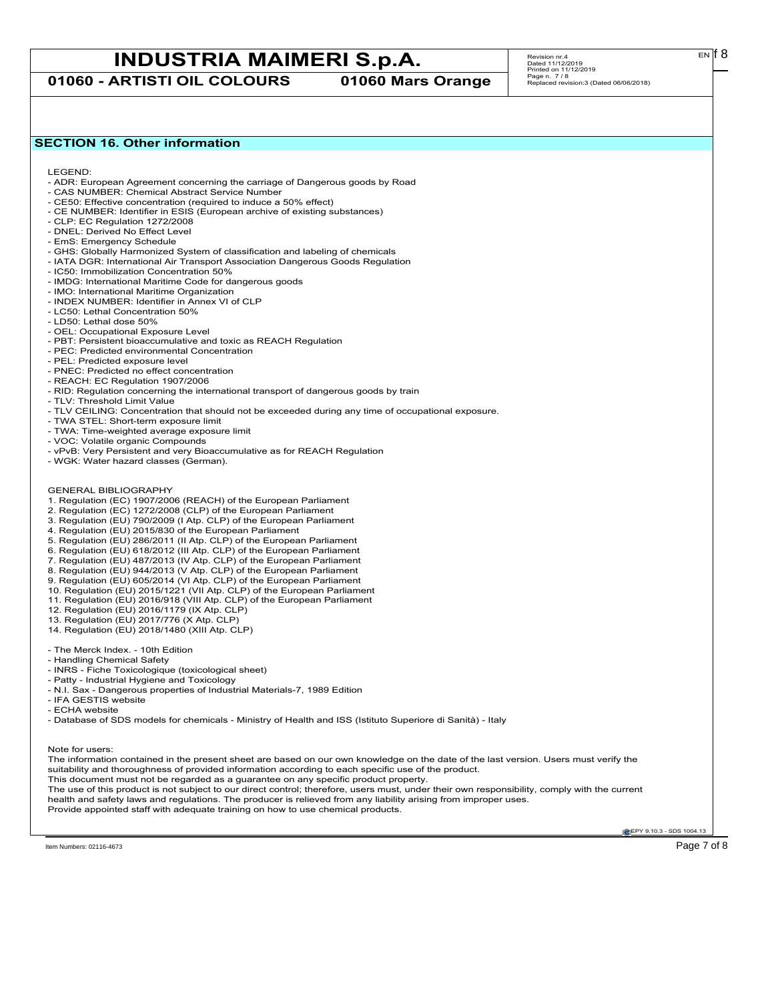**01060 - ARTISTI OIL COLOURS 01060 Mars Orange**

# Revision nr.4<br>Dated 11/12/2019<br>Printed on 11/12/2019<br>Page n. 7 / 8<br>Replaced revision:3 (Dated 06/06/2018)

# **SECTION 16. Other information**

LEGEND:

- ADR: European Agreement concerning the carriage of Dangerous goods by Road
- CAS NUMBER: Chemical Abstract Service Number - CE50: Effective concentration (required to induce a 50% effect)
- CE NUMBER: Identifier in ESIS (European archive of existing substances)
- CLP: EC Regulation 1272/2008
- DNEL: Derived No Effect Level
- EmS: Emergency Schedule
- GHS: Globally Harmonized System of classification and labeling of chemicals
- IATA DGR: International Air Transport Association Dangerous Goods Regulation
- IC50: Immobilization Concentration 50%
- IMDG: International Maritime Code for dangerous goods
- IMO: International Maritime Organization
- INDEX NUMBER: Identifier in Annex VI of CLP
- LC50: Lethal Concentration 50%
- LD50: Lethal dose 50%
- OEL: Occupational Exposure Level
- PBT: Persistent bioaccumulative and toxic as REACH Regulation
- PEC: Predicted environmental Concentration
- PEL: Predicted exposure level
- PNEC: Predicted no effect concentration
- REACH: EC Regulation 1907/2006
- RID: Regulation concerning the international transport of dangerous goods by train
- TLV: Threshold Limit Value
- TLV CEILING: Concentration that should not be exceeded during any time of occupational exposure.
- TWA STEL: Short-term exposure limit
- TWA: Time-weighted average exposure limit
- VOC: Volatile organic Compounds
- vPvB: Very Persistent and very Bioaccumulative as for REACH Regulation
- WGK: Water hazard classes (German).
- GENERAL BIBLIOGRAPHY
- 1. Regulation (EC) 1907/2006 (REACH) of the European Parliament
- 2. Regulation (EC) 1272/2008 (CLP) of the European Parliament
- 3. Regulation (EU) 790/2009 (I Atp. CLP) of the European Parliament
- 4. Regulation (EU) 2015/830 of the European Parliament
- 5. Regulation (EU) 286/2011 (II Atp. CLP) of the European Parliament
- 6. Regulation (EU) 618/2012 (III Atp. CLP) of the European Parliament
- 7. Regulation (EU) 487/2013 (IV Atp. CLP) of the European Parliament
- 8. Regulation (EU) 944/2013 (V Atp. CLP) of the European Parliament
- 9. Regulation (EU) 605/2014 (VI Atp. CLP) of the European Parliament
- 10. Regulation (EU) 2015/1221 (VII Atp. CLP) of the European Parliament
- 11. Regulation (EU) 2016/918 (VIII Atp. CLP) of the European Parliament
- 12. Regulation (EU) 2016/1179 (IX Atp. CLP)
- 13. Regulation (EU) 2017/776 (X Atp. CLP)
- 14. Regulation (EU) 2018/1480 (XIII Atp. CLP)
- The Merck Index. 10th Edition
- Handling Chemical Safety
- INRS Fiche Toxicologique (toxicological sheet)
- Patty Industrial Hygiene and Toxicology
- N.I. Sax Dangerous properties of Industrial Materials-7, 1989 Edition
- IFA GESTIS website
- ECHA website
- Database of SDS models for chemicals Ministry of Health and ISS (Istituto Superiore di Sanità) Italy

Note for users:

The information contained in the present sheet are based on our own knowledge on the date of the last version. Users must verify the suitability and thoroughness of provided information according to each specific use of the product. This document must not be regarded as a guarantee on any specific product property. The use of this product is not subject to our direct control; therefore, users must, under their own responsibility, comply with the current health and safety laws and regulations. The producer is relieved from any liability arising from improper uses.

Provide appointed staff with adequate training on how to use chemical products.

**EPY 9.10.3 - SDS 1004.13**